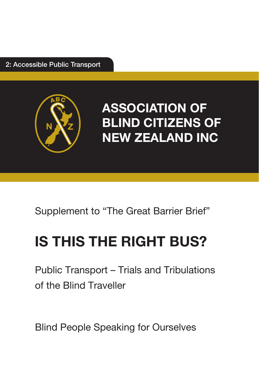2: Accessible Public Transport



**ASSOCIATION OF BLIND CITIZENS OF NEW ZEALAND INC**

Supplement to "The Great Barrier Brief"

# **IS THIS THE RIGHT BUS?**

Public Transport – Trials and Tribulations of the Blind Traveller

Blind People Speaking for Ourselves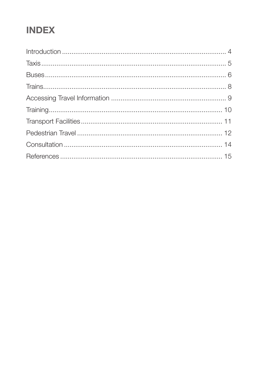# **INDEX**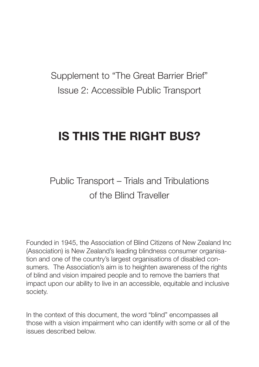Supplement to "The Great Barrier Brief" Issue 2: Accessible Public Transport

# **IS THIS THE RIGHT BUS?**

# Public Transport – Trials and Tribulations of the Blind Traveller

Founded in 1945, the Association of Blind Citizens of New Zealand Inc (Association) is New Zealand's leading blindness consumer organisation and one of the country's largest organisations of disabled consumers. The Association's aim is to heighten awareness of the rights of blind and vision impaired people and to remove the barriers that impact upon our ability to live in an accessible, equitable and inclusive society.

In the context of this document, the word "blind" encompasses all those with a vision impairment who can identify with some or all of the issues described below.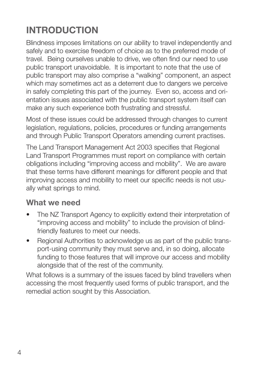# **INTRODUCTION**

Blindness imposes limitations on our ability to travel independently and safely and to exercise freedom of choice as to the preferred mode of travel. Being ourselves unable to drive, we often find our need to use public transport unavoidable. It is important to note that the use of public transport may also comprise a "walking" component, an aspect which may sometimes act as a deterrent due to dangers we perceive in safely completing this part of the journey. Even so, access and orientation issues associated with the public transport system itself can make any such experience both frustrating and stressful.

Most of these issues could be addressed through changes to current legislation, regulations, policies, procedures or funding arrangements and through Public Transport Operators amending current practises.

The Land Transport Management Act 2003 specifies that Regional Land Transport Programmes must report on compliance with certain obligations including "improving access and mobility". We are aware that these terms have different meanings for different people and that improving access and mobility to meet our specific needs is not usually what springs to mind.

### **What we need**

- The NZ Transport Agency to explicitly extend their interpretation of "improving access and mobility" to include the provision of blindfriendly features to meet our needs.
- Regional Authorities to acknowledge us as part of the public transport-using community they must serve and, in so doing, allocate funding to those features that will improve our access and mobility alongside that of the rest of the community.

What follows is a summary of the issues faced by blind travellers when accessing the most frequently used forms of public transport, and the remedial action sought by this Association.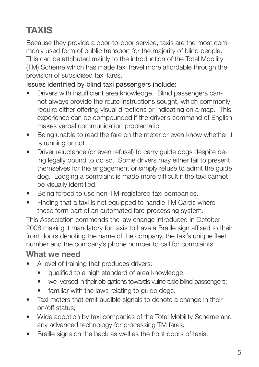# **TAXIS**

Because they provide a door-to-door service, taxis are the most commonly used form of public transport for the majority of blind people. This can be attributed mainly to the introduction of the Total Mobility (TM) Scheme which has made taxi travel more affordable through the provision of subsidised taxi fares.

### Issues identified by blind taxi passengers include:

- Drivers with insufficient area knowledge. Blind passengers cannot always provide the route instructions sought, which commonly require either offering visual directions or indicating on a map. This experience can be compounded if the driver's command of English makes verbal communication problematic.
- Being unable to read the fare on the meter or even know whether it is running or not.
- Driver reluctance (or even refusal) to carry quide dogs despite being legally bound to do so. Some drivers may either fail to present themselves for the engagement or simply refuse to admit the guide dog. Lodging a complaint is made more difficult if the taxi cannot be visually identified.
- Being forced to use non-TM-registered taxi companies.
- Finding that a taxi is not equipped to handle TM Cards where these form part of an automated fare-processing system.

This Association commends the law change introduced in October 2008 making it mandatory for taxis to have a Braille sign affixed to their front doors denoting the name of the company, the taxi's unique fleet number and the company's phone number to call for complaints.

- A level of training that produces drivers:
	- qualified to a high standard of area knowledge;
	- well versed in their obligations towards vulnerable blind passengers;
	- familiar with the laws relating to quide dogs.
- Taxi meters that emit audible signals to denote a change in their on/off status;
- Wide adoption by taxi companies of the Total Mobility Scheme and any advanced technology for processing TM fares;
- Braille signs on the back as well as the front doors of taxis.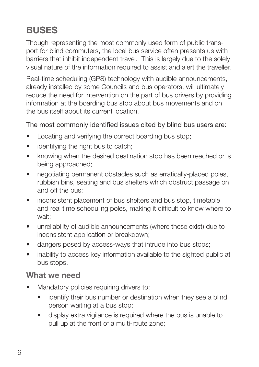# **BUSES**

Though representing the most commonly used form of public transport for blind commuters, the local bus service often presents us with barriers that inhibit independent travel. This is largely due to the solely visual nature of the information required to assist and alert the traveller.

Real-time scheduling (GPS) technology with audible announcements, already installed by some Councils and bus operators, will ultimately reduce the need for intervention on the part of bus drivers by providing information at the boarding bus stop about bus movements and on the bus itself about its current location.

### The most commonly identified issues cited by blind bus users are:

- Locating and verifying the correct boarding bus stop;
- identifying the right bus to catch:
- knowing when the desired destination stop has been reached or is being approached;
- negotiating permanent obstacles such as erratically-placed poles, rubbish bins, seating and bus shelters which obstruct passage on and off the bus;
- inconsistent placement of bus shelters and bus stop, timetable and real time scheduling poles, making it difficult to know where to wait;
- unreliability of audible announcements (where these exist) due to inconsistent application or breakdown;
- dangers posed by access-ways that intrude into bus stops;
- inability to access key information available to the sighted public at bus stops.

- Mandatory policies requiring drivers to:
	- identify their bus number or destination when they see a blind person waiting at a bus stop;
	- display extra vigilance is required where the bus is unable to pull up at the front of a multi-route zone;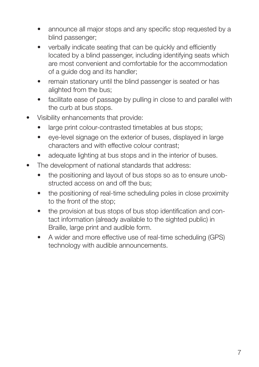- announce all major stops and any specific stop requested by a blind passenger;
- verbally indicate seating that can be quickly and efficiently located by a blind passenger, including identifying seats which are most convenient and comfortable for the accommodation of a guide dog and its handler;
- remain stationary until the blind passenger is seated or has alighted from the bus;
- facilitate ease of passage by pulling in close to and parallel with the curb at bus stops.
- Visibility enhancements that provide:
	- large print colour-contrasted timetables at bus stops;
	- eye-level signage on the exterior of buses, displayed in large characters and with effective colour contrast;
	- adequate lighting at bus stops and in the interior of buses.
- The development of national standards that address:
	- the positioning and layout of bus stops so as to ensure unobstructed access on and off the bus;
	- the positioning of real-time scheduling poles in close proximity to the front of the stop;
	- the provision at bus stops of bus stop identification and contact information (already available to the sighted public) in Braille, large print and audible form.
	- A wider and more effective use of real-time scheduling (GPS) technology with audible announcements.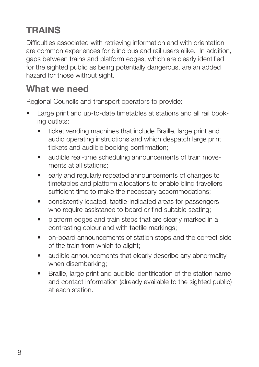# **TRAINS**

Difficulties associated with retrieving information and with orientation are common experiences for blind bus and rail users alike. In addition, gaps between trains and platform edges, which are clearly identified for the sighted public as being potentially dangerous, are an added hazard for those without sight.

### **What we need**

Regional Councils and transport operators to provide:

- Large print and up-to-date timetables at stations and all rail booking outlets;
	- ticket vending machines that include Braille, large print and audio operating instructions and which despatch large print tickets and audible booking confirmation;
	- audible real-time scheduling announcements of train movements at all stations;
	- early and regularly repeated announcements of changes to timetables and platform allocations to enable blind travellers sufficient time to make the necessary accommodations;
	- consistently located, tactile-indicated areas for passengers who require assistance to board or find suitable seating;
	- platform edges and train steps that are clearly marked in a contrasting colour and with tactile markings;
	- on-board announcements of station stops and the correct side of the train from which to alight;
	- audible announcements that clearly describe any abnormality when disembarking;
	- Braille, large print and audible identification of the station name and contact information (already available to the sighted public) at each station.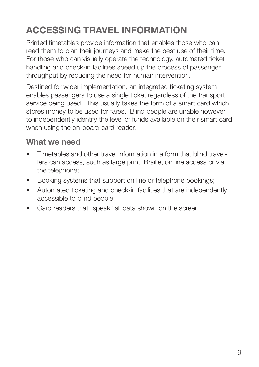# **ACCESSING TRAVEL INFORMATION**

Printed timetables provide information that enables those who can read them to plan their journeys and make the best use of their time. For those who can visually operate the technology, automated ticket handling and check-in facilities speed up the process of passenger throughput by reducing the need for human intervention.

Destined for wider implementation, an integrated ticketing system enables passengers to use a single ticket regardless of the transport service being used. This usually takes the form of a smart card which stores money to be used for fares. Blind people are unable however to independently identify the level of funds available on their smart card when using the on-board card reader.

- Timetables and other travel information in a form that blind travellers can access, such as large print, Braille, on line access or via the telephone;
- Booking systems that support on line or telephone bookings;
- Automated ticketing and check-in facilities that are independently accessible to blind people;
- Card readers that "speak" all data shown on the screen.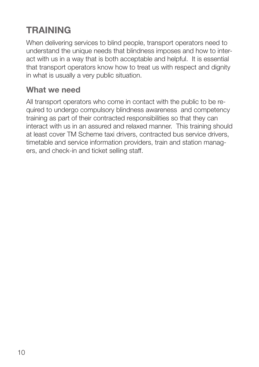# **TRAINING**

When delivering services to blind people, transport operators need to understand the unique needs that blindness imposes and how to interact with us in a way that is both acceptable and helpful. It is essential that transport operators know how to treat us with respect and dignity in what is usually a very public situation.

### **What we need**

All transport operators who come in contact with the public to be required to undergo compulsory blindness awareness and competency training as part of their contracted responsibilities so that they can interact with us in an assured and relaxed manner. This training should at least cover TM Scheme taxi drivers, contracted bus service drivers, timetable and service information providers, train and station managers, and check-in and ticket selling staff.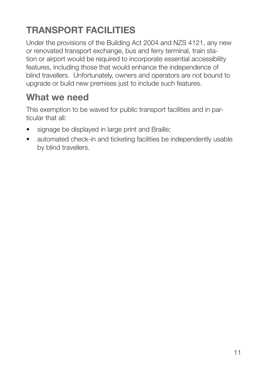# **TRANSPORT FACILITIES**

Under the provisions of the Building Act 2004 and NZS 4121, any new or renovated transport exchange, bus and ferry terminal, train station or airport would be required to incorporate essential accessibility features, including those that would enhance the independence of blind travellers. Unfortunately, owners and operators are not bound to upgrade or build new premises just to include such features.

### **What we need**

This exemption to be waved for public transport facilities and in particular that all:

- signage be displayed in large print and Braille;
- automated check-in and ticketing facilities be independently usable by blind travellers.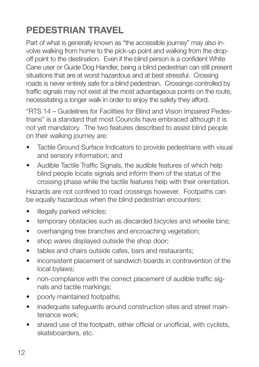# **PEDESTRIAN TRAVEL**

Part of what is generally known as "the accessible journey" may also involve walking from home to the pick-up point and walking from the dropoff point to the destination. Even if the blind person is a confident White Cane user or Guide Dog Handler, being a blind pedestrian can still present situations that are at worst hazardous and at best stressful. Crossing roads is never entirely safe for a blind pedestrian. Crossings controlled by traffic signals may not exist at the most advantageous points on the route, necessitating a longer walk in order to enjoy the safety they afford.

"RTS 14 – Guidelines for Facilities for Blind and Vision Impaired Pedestrians" is a standard that most Councils have embraced although it is not yet mandatory. The two features described to assist blind people on their walking journey are:

- Tactile Ground Surface Indicators to provide pedestrians with visual and sensory information; and
- Audible Tactile Traffic Signals, the audible features of which help blind people locate signals and inform them of the status of the crossing phase while the tactile features help with their orientation.

Hazards are not confined to road crossings however. Footpaths can be equally hazardous when the blind pedestrian encounters:

- illegally parked vehicles:
- temporary obstacles such as discarded bicycles and wheelie bins;
- overhanging tree branches and encroaching vegetation;
- shop wares displayed outside the shop door;
- tables and chairs outside cafes, bars and restaurants;
- inconsistent placement of sandwich boards in contravention of the local bylaws;
- non-compliance with the correct placement of audible traffic signals and tactile markings;
- poorly maintained footpaths;
- inadequate safeguards around construction sites and street maintenance work;
- shared use of the footpath, either official or unofficial, with cyclists, skateboarders, etc.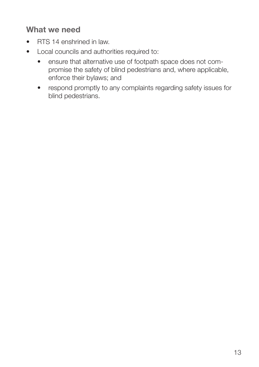- RTS 14 enshrined in law
- • Local councils and authorities required to:
	- ensure that alternative use of footpath space does not compromise the safety of blind pedestrians and, where applicable, enforce their bylaws; and
	- respond promptly to any complaints regarding safety issues for blind pedestrians.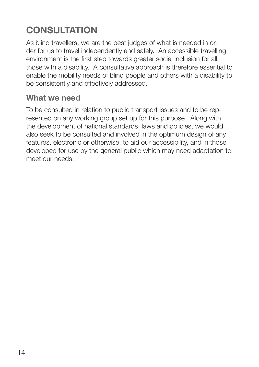# **CONSULTATION**

As blind travellers, we are the best judges of what is needed in order for us to travel independently and safely. An accessible travelling environment is the first step towards greater social inclusion for all those with a disability. A consultative approach is therefore essential to enable the mobility needs of blind people and others with a disability to be consistently and effectively addressed.

### **What we need**

To be consulted in relation to public transport issues and to be represented on any working group set up for this purpose. Along with the development of national standards, laws and policies, we would also seek to be consulted and involved in the optimum design of any features, electronic or otherwise, to aid our accessibility, and in those developed for use by the general public which may need adaptation to meet our needs.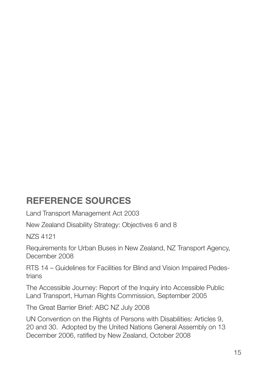### **REFERENCE SOURCES**

Land Transport Management Act 2003

New Zealand Disability Strategy: Objectives 6 and 8

NZS 4121

Requirements for Urban Buses in New Zealand, NZ Transport Agency, December 2008

RTS 14 – Guidelines for Facilities for Blind and Vision Impaired Pedestrians

The Accessible Journey: Report of the Inquiry into Accessible Public Land Transport, Human Rights Commission, September 2005

The Great Barrier Brief: ABC NZ July 2008

UN Convention on the Rights of Persons with Disabilities: Articles 9, 20 and 30. Adopted by the United Nations General Assembly on 13 December 2006, ratified by New Zealand, October 2008